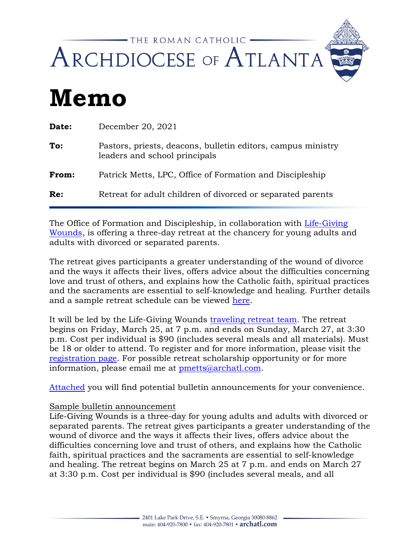

## **Memo**

| Date: | December 20, 2021                                                                             |
|-------|-----------------------------------------------------------------------------------------------|
| To:   | Pastors, priests, deacons, bulletin editors, campus ministry<br>leaders and school principals |
| From: | Patrick Metts, LPC, Office of Formation and Discipleship                                      |
| Re:   | Retreat for adult children of divorced or separated parents                                   |

The Office of Formation and Discipleship, in collaboration with [Life-Giving](https://www.lifegivingwounds.org/)  [Wounds,](https://www.lifegivingwounds.org/) is offering a three-day retreat at the chancery for young adults and adults with divorced or separated parents.

The retreat gives participants a greater understanding of the wound of divorce and the ways it affects their lives, offers advice about the difficulties concerning love and trust of others, and explains how the Catholic faith, spiritual practices and the sacraments are essential to self-knowledge and healing. Further details and a sample retreat schedule can be viewed [here.](https://www.lifegivingwounds.org/what-to-expect)

It will be led by the Life-Giving Wounds [traveling retreat team.](https://www.lifegivingwounds.org/retreat-team) The retreat begins on Friday, March 25, at 7 p.m. and ends on Sunday, March 27, at 3:30 p.m. Cost per individual is \$90 (includes several meals and all materials). Must be 18 or older to attend. To register and for more information, please visit the [registration page.](https://secure.archatl.com/event.jsp?event=12386&) For possible retreat scholarship opportunity or for more information, please email me at [pmetts@archatl.com.](mailto:pmetts@archatl.com)

[Attached](https://communique.archatl.com/wp-content/uploads/Atlanta-Life-Giving-Wounds-Retreat-Flyer.pdf) you will find potential bulletin announcements for your convenience.

## Sample bulletin announcement

Life-Giving Wounds is a three-day for young adults and adults with divorced or separated parents. The retreat gives participants a greater understanding of the wound of divorce and the ways it affects their lives, offers advice about the difficulties concerning love and trust of others, and explains how the Catholic faith, spiritual practices and the sacraments are essential to self-knowledge and healing. The retreat begins on March 25 at 7 p.m. and ends on March 27 at 3:30 p.m. Cost per individual is \$90 (includes several meals, and all